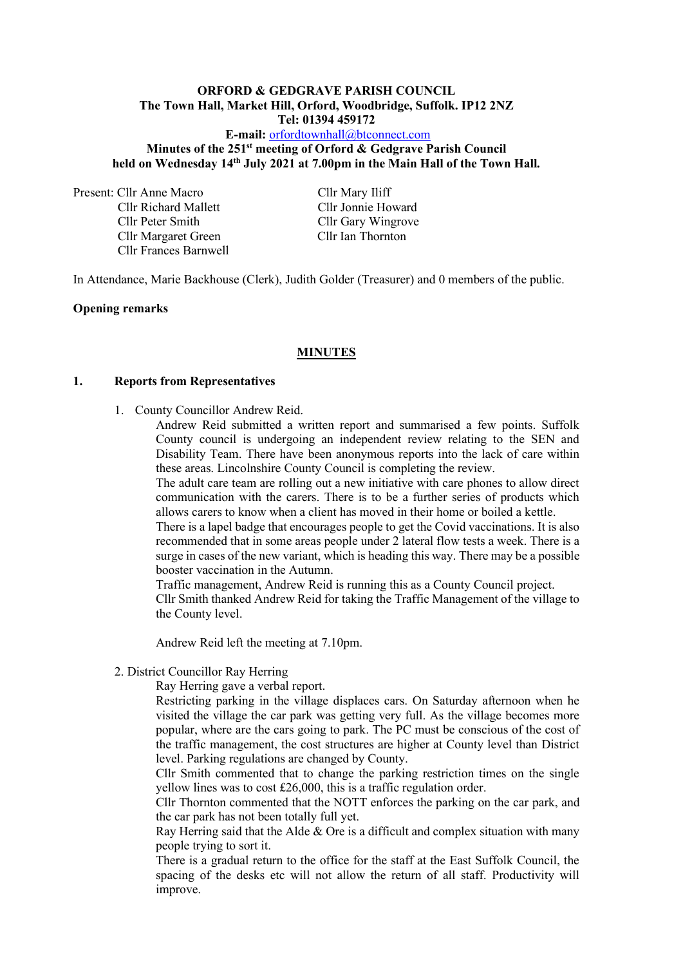#### **ORFORD & GEDGRAVE PARISH COUNCIL The Town Hall, Market Hill, Orford, Woodbridge, Suffolk. IP12 2NZ Tel: 01394 459172**

## **E-mail:** [orfordtownhall@btconnect.com](mailto:orfordtownhall@btconnect.com) **Minutes of the 251 st meeting of Orford & Gedgrave Parish Council held on Wednesday 14th July 2021 at 7.00pm in the Main Hall of the Town Hall***.*

Present: Cllr Anne Macro Cllr Mary Iliff

Cllr Richard Mallett Cllr Jonnie Howard Cllr Peter Smith Cllr Gary Wingrove Cllr Margaret Green Cllr Ian Thornton Cllr Frances Barnwell

In Attendance, Marie Backhouse (Clerk), Judith Golder (Treasurer) and 0 members of the public.

#### **Opening remarks**

#### **MINUTES**

#### **1. Reports from Representatives**

1. County Councillor Andrew Reid.

Andrew Reid submitted a written report and summarised a few points. Suffolk County council is undergoing an independent review relating to the SEN and Disability Team. There have been anonymous reports into the lack of care within these areas. Lincolnshire County Council is completing the review.

The adult care team are rolling out a new initiative with care phones to allow direct communication with the carers. There is to be a further series of products which allows carers to know when a client has moved in their home or boiled a kettle.

There is a lapel badge that encourages people to get the Covid vaccinations. It is also recommended that in some areas people under 2 lateral flow tests a week. There is a surge in cases of the new variant, which is heading this way. There may be a possible booster vaccination in the Autumn.

Traffic management, Andrew Reid is running this as a County Council project. Cllr Smith thanked Andrew Reid for taking the Traffic Management of the village to the County level.

Andrew Reid left the meeting at 7.10pm.

2. District Councillor Ray Herring

Ray Herring gave a verbal report.

Restricting parking in the village displaces cars. On Saturday afternoon when he visited the village the car park was getting very full. As the village becomes more popular, where are the cars going to park. The PC must be conscious of the cost of the traffic management, the cost structures are higher at County level than District level. Parking regulations are changed by County.

Cllr Smith commented that to change the parking restriction times on the single yellow lines was to cost £26,000, this is a traffic regulation order.

Cllr Thornton commented that the NOTT enforces the parking on the car park, and the car park has not been totally full yet.

Ray Herring said that the Alde  $&$  Ore is a difficult and complex situation with many people trying to sort it.

There is a gradual return to the office for the staff at the East Suffolk Council, the spacing of the desks etc will not allow the return of all staff. Productivity will improve.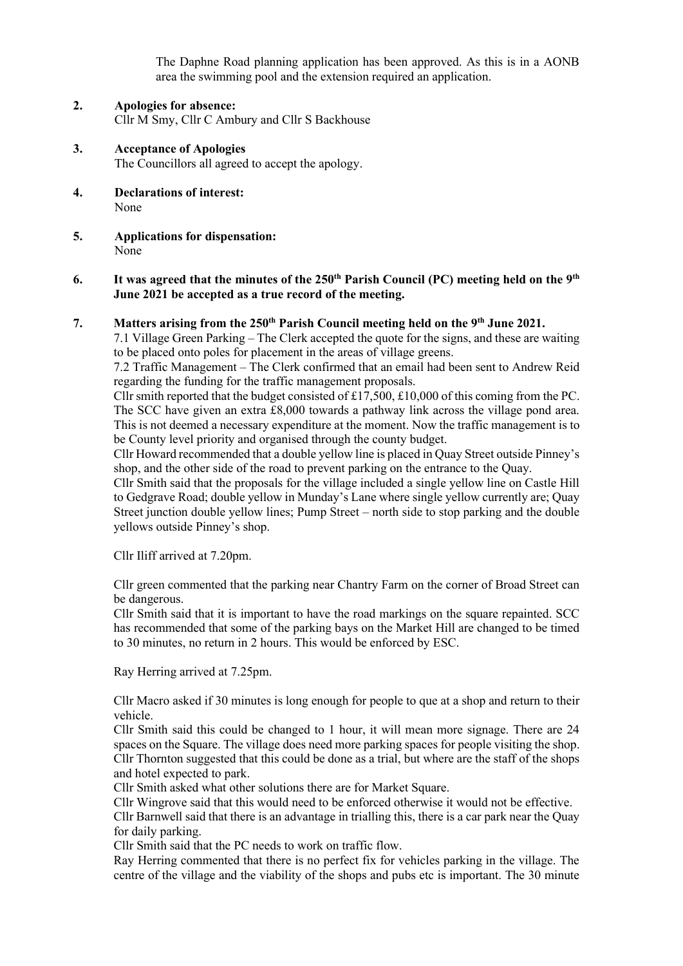The Daphne Road planning application has been approved. As this is in a AONB area the swimming pool and the extension required an application.

- **2. Apologies for absence:** Cllr M Smy, Cllr C Ambury and Cllr S Backhouse
- **3. Acceptance of Apologies** The Councillors all agreed to accept the apology.
- **4. Declarations of interest:** None
- **5. Applications for dispensation:** None
- **6. It was agreed that the minutes of the 250th Parish Council (PC) meeting held on the 9 th June 2021 be accepted as a true record of the meeting.**

### **7. Matters arising from the 250th Parish Council meeting held on the 9 th June 2021.**

7.1 Village Green Parking – The Clerk accepted the quote for the signs, and these are waiting to be placed onto poles for placement in the areas of village greens.

7.2 Traffic Management – The Clerk confirmed that an email had been sent to Andrew Reid regarding the funding for the traffic management proposals.

Cllr smith reported that the budget consisted of £17,500, £10,000 of this coming from the PC. The SCC have given an extra £8,000 towards a pathway link across the village pond area. This is not deemed a necessary expenditure at the moment. Now the traffic management is to be County level priority and organised through the county budget.

Cllr Howard recommended that a double yellow line is placed in Quay Street outside Pinney's shop, and the other side of the road to prevent parking on the entrance to the Quay.

Cllr Smith said that the proposals for the village included a single yellow line on Castle Hill to Gedgrave Road; double yellow in Munday's Lane where single yellow currently are; Quay Street junction double yellow lines; Pump Street – north side to stop parking and the double yellows outside Pinney's shop.

Cllr Iliff arrived at 7.20pm.

Cllr green commented that the parking near Chantry Farm on the corner of Broad Street can be dangerous.

Cllr Smith said that it is important to have the road markings on the square repainted. SCC has recommended that some of the parking bays on the Market Hill are changed to be timed to 30 minutes, no return in 2 hours. This would be enforced by ESC.

Ray Herring arrived at 7.25pm.

Cllr Macro asked if 30 minutes is long enough for people to que at a shop and return to their vehicle.

Cllr Smith said this could be changed to 1 hour, it will mean more signage. There are 24 spaces on the Square. The village does need more parking spaces for people visiting the shop. Cllr Thornton suggested that this could be done as a trial, but where are the staff of the shops and hotel expected to park.

Cllr Smith asked what other solutions there are for Market Square.

Cllr Wingrove said that this would need to be enforced otherwise it would not be effective. Cllr Barnwell said that there is an advantage in trialling this, there is a car park near the Quay for daily parking.

Cllr Smith said that the PC needs to work on traffic flow.

Ray Herring commented that there is no perfect fix for vehicles parking in the village. The centre of the village and the viability of the shops and pubs etc is important. The 30 minute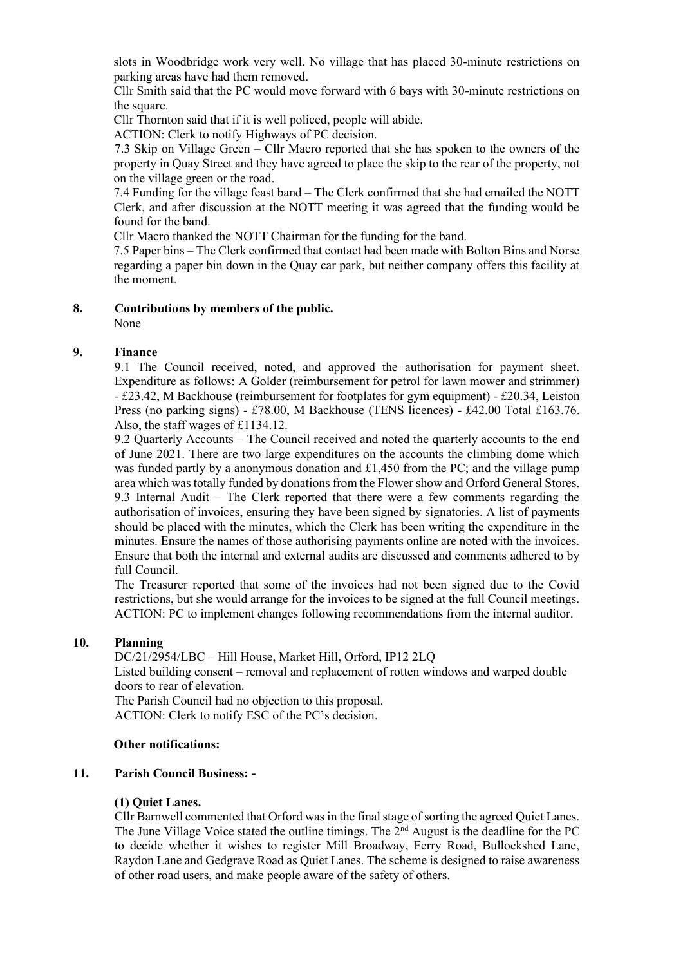slots in Woodbridge work very well. No village that has placed 30-minute restrictions on parking areas have had them removed.

Cllr Smith said that the PC would move forward with 6 bays with 30-minute restrictions on the square.

Cllr Thornton said that if it is well policed, people will abide.

ACTION: Clerk to notify Highways of PC decision.

7.3 Skip on Village Green – Cllr Macro reported that she has spoken to the owners of the property in Quay Street and they have agreed to place the skip to the rear of the property, not on the village green or the road.

7.4 Funding for the village feast band – The Clerk confirmed that she had emailed the NOTT Clerk, and after discussion at the NOTT meeting it was agreed that the funding would be found for the band.

Cllr Macro thanked the NOTT Chairman for the funding for the band.

7.5 Paper bins – The Clerk confirmed that contact had been made with Bolton Bins and Norse regarding a paper bin down in the Quay car park, but neither company offers this facility at the moment.

## **8. Contributions by members of the public.**

None

## **9. Finance**

9.1 The Council received, noted, and approved the authorisation for payment sheet. Expenditure as follows: A Golder (reimbursement for petrol for lawn mower and strimmer) - £23.42, M Backhouse (reimbursement for footplates for gym equipment) - £20.34, Leiston Press (no parking signs) - £78.00, M Backhouse (TENS licences) - £42.00 Total £163.76. Also, the staff wages of £1134.12.

9.2 Quarterly Accounts – The Council received and noted the quarterly accounts to the end of June 2021. There are two large expenditures on the accounts the climbing dome which was funded partly by a anonymous donation and £1,450 from the PC; and the village pump area which was totally funded by donations from the Flower show and Orford General Stores. 9.3 Internal Audit – The Clerk reported that there were a few comments regarding the authorisation of invoices, ensuring they have been signed by signatories. A list of payments should be placed with the minutes, which the Clerk has been writing the expenditure in the minutes. Ensure the names of those authorising payments online are noted with the invoices. Ensure that both the internal and external audits are discussed and comments adhered to by full Council.

The Treasurer reported that some of the invoices had not been signed due to the Covid restrictions, but she would arrange for the invoices to be signed at the full Council meetings. ACTION: PC to implement changes following recommendations from the internal auditor.

### **10. Planning**

DC/21/2954/LBC – Hill House, Market Hill, Orford, IP12 2LQ Listed building consent – removal and replacement of rotten windows and warped double doors to rear of elevation.

The Parish Council had no objection to this proposal. ACTION: Clerk to notify ESC of the PC's decision.

### **Other notifications:**

### **11. Parish Council Business: -**

# **(1) Quiet Lanes.**

Cllr Barnwell commented that Orford was in the final stage of sorting the agreed Quiet Lanes. The June Village Voice stated the outline timings. The  $2<sup>nd</sup>$  August is the deadline for the PC to decide whether it wishes to register Mill Broadway, Ferry Road, Bullockshed Lane, Raydon Lane and Gedgrave Road as Quiet Lanes. The scheme is designed to raise awareness of other road users, and make people aware of the safety of others.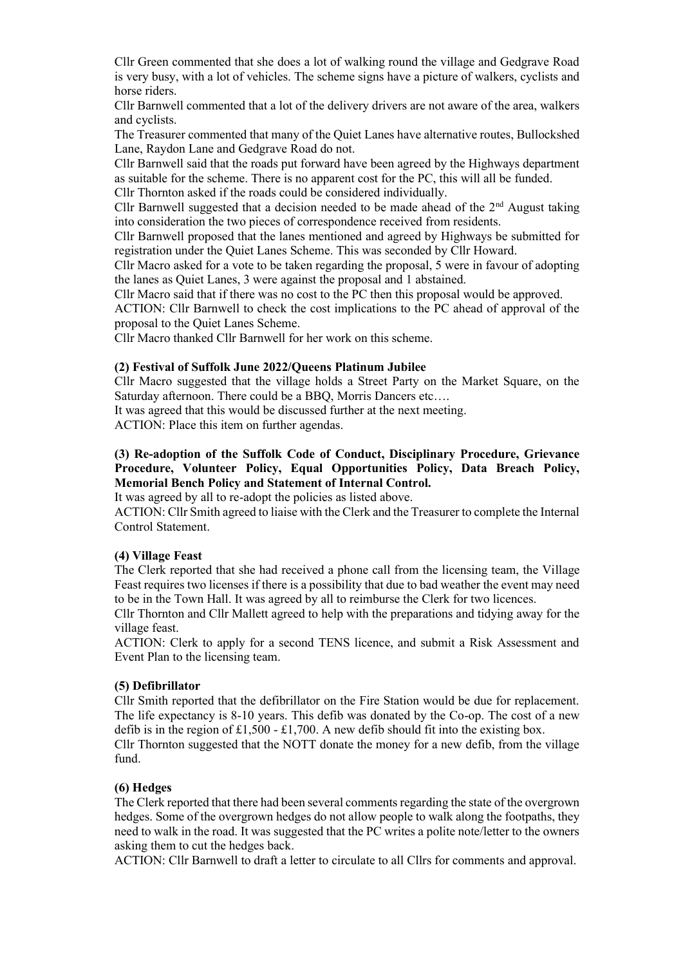Cllr Green commented that she does a lot of walking round the village and Gedgrave Road is very busy, with a lot of vehicles. The scheme signs have a picture of walkers, cyclists and horse riders.

Cllr Barnwell commented that a lot of the delivery drivers are not aware of the area, walkers and cyclists.

The Treasurer commented that many of the Quiet Lanes have alternative routes, Bullockshed Lane, Raydon Lane and Gedgrave Road do not.

Cllr Barnwell said that the roads put forward have been agreed by the Highways department as suitable for the scheme. There is no apparent cost for the PC, this will all be funded.

Cllr Thornton asked if the roads could be considered individually.

Cllr Barnwell suggested that a decision needed to be made ahead of the  $2<sup>nd</sup>$  August taking into consideration the two pieces of correspondence received from residents.

Cllr Barnwell proposed that the lanes mentioned and agreed by Highways be submitted for registration under the Quiet Lanes Scheme. This was seconded by Cllr Howard.

Cllr Macro asked for a vote to be taken regarding the proposal, 5 were in favour of adopting the lanes as Quiet Lanes, 3 were against the proposal and 1 abstained.

Cllr Macro said that if there was no cost to the PC then this proposal would be approved.

ACTION: Cllr Barnwell to check the cost implications to the PC ahead of approval of the proposal to the Quiet Lanes Scheme.

Cllr Macro thanked Cllr Barnwell for her work on this scheme.

#### **(2) Festival of Suffolk June 2022/Queens Platinum Jubilee**

Cllr Macro suggested that the village holds a Street Party on the Market Square, on the Saturday afternoon. There could be a BBQ, Morris Dancers etc….

It was agreed that this would be discussed further at the next meeting.

ACTION: Place this item on further agendas.

## **(3) Re-adoption of the Suffolk Code of Conduct, Disciplinary Procedure, Grievance Procedure, Volunteer Policy, Equal Opportunities Policy, Data Breach Policy, Memorial Bench Policy and Statement of Internal Control.**

It was agreed by all to re-adopt the policies as listed above.

ACTION: Cllr Smith agreed to liaise with the Clerk and the Treasurer to complete the Internal Control Statement.

#### **(4) Village Feast**

The Clerk reported that she had received a phone call from the licensing team, the Village Feast requires two licenses if there is a possibility that due to bad weather the event may need to be in the Town Hall. It was agreed by all to reimburse the Clerk for two licences.

Cllr Thornton and Cllr Mallett agreed to help with the preparations and tidying away for the village feast.

ACTION: Clerk to apply for a second TENS licence, and submit a Risk Assessment and Event Plan to the licensing team.

### **(5) Defibrillator**

Cllr Smith reported that the defibrillator on the Fire Station would be due for replacement. The life expectancy is 8-10 years. This defib was donated by the Co-op. The cost of a new defib is in the region of £1,500 - £1,700. A new defib should fit into the existing box.

Cllr Thornton suggested that the NOTT donate the money for a new defib, from the village fund.

### **(6) Hedges**

The Clerk reported that there had been several comments regarding the state of the overgrown hedges. Some of the overgrown hedges do not allow people to walk along the footpaths, they need to walk in the road. It was suggested that the PC writes a polite note/letter to the owners asking them to cut the hedges back.

ACTION: Cllr Barnwell to draft a letter to circulate to all Cllrs for comments and approval.